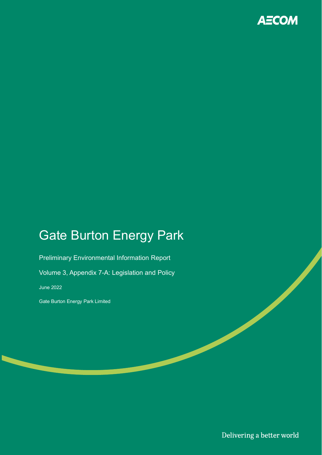

# Gate Burton Energy Park

Preliminary Environmental Information Report

Volume 3, Appendix 7-A: Legislation and Policy

June 2022

Gate Burton Energy Park Limited

Delivering a better world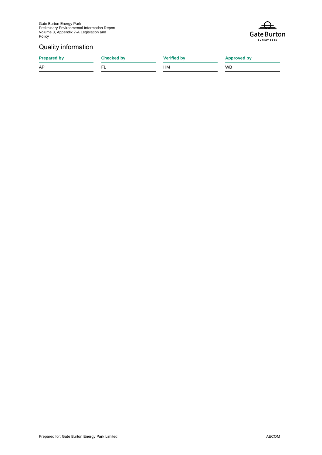

#### Quality information

**Prepared by Checked by Checked by Verified by Approved by** 

AP FL HM WB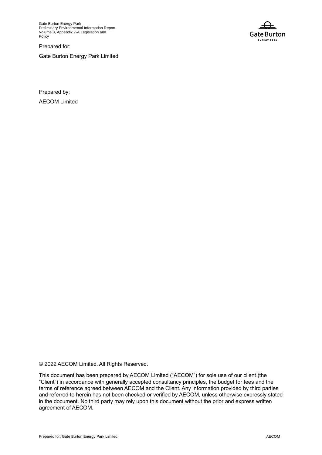Gate Burton Energy Park Preliminary Environmental Information Report Volume 3, Appendix 7-A Legislation and Policy

Prepared for:

Gate Burton Energy Park Limited



Prepared by: AECOM Limited

© 2022 AECOM Limited. All Rights Reserved.

This document has been prepared by AECOM Limited ("AECOM") for sole use of our client (the "Client") in accordance with generally accepted consultancy principles, the budget for fees and the terms of reference agreed between AECOM and the Client. Any information provided by third parties and referred to herein has not been checked or verified by AECOM, unless otherwise expressly stated in the document. No third party may rely upon this document without the prior and express written agreement of AECOM.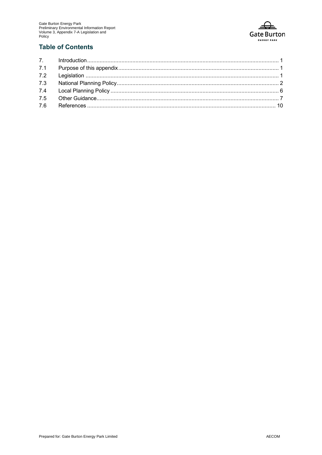

#### **Table of Contents**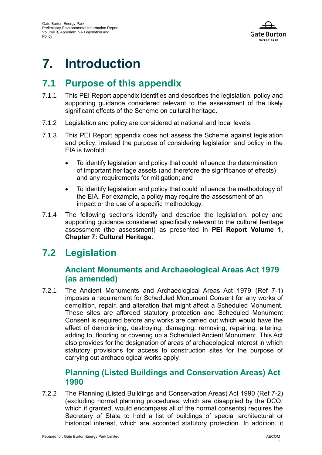

# **7. Introduction**

## **7.1 Purpose of this appendix**

- 7.1.1 This PEI Report appendix identifies and describes the legislation, policy and supporting guidance considered relevant to the assessment of the likely significant effects of the Scheme on cultural heritage.
- 7.1.2 Legislation and policy are considered at national and local levels.
- 7.1.3 This PEI Report appendix does not assess the Scheme against legislation and policy; instead the purpose of considering legislation and policy in the EIA is twofold:
	- To identify legislation and policy that could influence the determination of important heritage assets (and therefore the significance of effects) and any requirements for mitigation; and
	- To identify legislation and policy that could influence the methodology of the EIA. For example, a policy may require the assessment of an impact or the use of a specific methodology.
- 7.1.4 The following sections identify and describe the legislation, policy and supporting guidance considered specifically relevant to the cultural heritage assessment (the assessment) as presented in **PEI Report Volume 1, Chapter 7: Cultural Heritage**.

## **7.2 Legislation**

### **Ancient Monuments and Archaeological Areas Act 1979 (as amended)**

7.2.1 The Ancient Monuments and Archaeological Areas Act 1979 [\(Ref 7-1\)](#page-13-0) imposes a requirement for Scheduled Monument Consent for any works of demolition, repair, and alteration that might affect a Scheduled Monument. These sites are afforded statutory protection and Scheduled Monument Consent is required before any works are carried out which would have the effect of demolishing, destroying, damaging, removing, repairing, altering, adding to, flooding or covering up a Scheduled Ancient Monument. This Act also provides for the designation of areas of archaeological interest in which statutory provisions for access to construction sites for the purpose of carrying out archaeological works apply.

### **Planning (Listed Buildings and Conservation Areas) Act 1990**

7.2.2 The Planning (Listed Buildings and Conservation Areas) Act 1990 [\(Ref 7-2\)](#page-13-1) (excluding normal planning procedures, which are disapplied by the DCO, which if granted, would encompass all of the normal consents) requires the Secretary of State to hold a list of buildings of special architectural or historical interest, which are accorded statutory protection. In addition, it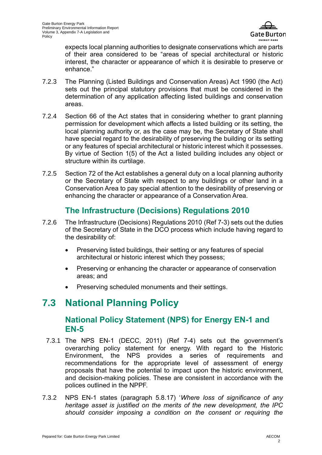

expects local planning authorities to designate conservations which are parts of their area considered to be "areas of special architectural or historic interest, the character or appearance of which it is desirable to preserve or enhance."

- 7.2.3 The Planning (Listed Buildings and Conservation Areas) Act 1990 (the Act) sets out the principal statutory provisions that must be considered in the determination of any application affecting listed buildings and conservation areas.
- 7.2.4 Section 66 of the Act states that in considering whether to grant planning permission for development which affects a listed building or its setting, the local planning authority or, as the case may be, the Secretary of State shall have special regard to the desirability of preserving the building or its setting or any features of special architectural or historic interest which it possesses. By virtue of Section 1(5) of the Act a listed building includes any object or structure within its curtilage.
- 7.2.5 Section 72 of the Act establishes a general duty on a local planning authority or the Secretary of State with respect to any buildings or other land in a Conservation Area to pay special attention to the desirability of preserving or enhancing the character or appearance of a Conservation Area.

## **The Infrastructure (Decisions) Regulations 2010**

- 7.2.6 The Infrastructure (Decisions) Regulations 2010 [\(Ref 7-3\)](#page-13-2) sets out the duties of the Secretary of State in the DCO process which include having regard to the desirability of:
	- Preserving listed buildings, their setting or any features of special architectural or historic interest which they possess;
	- Preserving or enhancing the character or appearance of conservation areas; and
	- Preserving scheduled monuments and their settings.

## **7.3 National Planning Policy**

### **National Policy Statement (NPS) for Energy EN-1 and EN-5**

- 7.3.1 The NPS EN-1 (DECC, 2011) [\(Ref 7-4\)](#page-13-3) sets out the government's overarching policy statement for energy. With regard to the Historic Environment, the NPS provides a series of requirements and recommendations for the appropriate level of assessment of energy proposals that have the potential to impact upon the historic environment, and decision-making policies. These are consistent in accordance with the polices outlined in the NPPF.
- 7.3.2 NPS EN-1 states (paragraph 5.8.17) '*Where loss of significance of any heritage asset is justified on the merits of the new development, the IPC should consider imposing a condition on the consent or requiring the*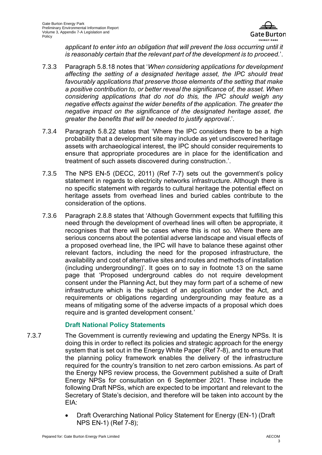

applicant to enter into an obligation that will prevent the loss occurring until it *is reasonably certain that the relevant part of the development is to proceed.*'.

- 7.3.3 Paragraph 5.8.18 notes that '*When considering applications for development affecting the setting of a designated heritage asset, the IPC should treat favourably applications that preserve those elements of the setting that make a positive contribution to, or better reveal the significance of, the asset. When considering applications that do not do this, the IPC should weigh any negative effects against the wider benefits of the application. The greater the negative impact on the significance of the designated heritage asset, the greater the benefits that will be needed to justify approval*.'.
- 7.3.4 Paragraph 5.8.22 states that 'Where the IPC considers there to be a high probability that a development site may include as yet undiscovered heritage assets with archaeological interest, the IPC should consider requirements to ensure that appropriate procedures are in place for the identification and treatment of such assets discovered during construction.'.
- 7.3.5 The NPS EN-5 (DECC, 2011) [\(Ref 7-7\)](#page-13-4) sets out the government's policy statement in regards to electricity networks infrastructure. Although there is no specific statement with regards to cultural heritage the potential effect on heritage assets from overhead lines and buried cables contribute to the consideration of the options.
- 7.3.6 Paragraph 2.8.8 states that 'Although Government expects that fulfilling this need through the development of overhead lines will often be appropriate, it recognises that there will be cases where this is not so. Where there are serious concerns about the potential adverse landscape and visual effects of a proposed overhead line, the IPC will have to balance these against other relevant factors, including the need for the proposed infrastructure, the availability and cost of alternative sites and routes and methods of installation (including undergrounding)'. It goes on to say in footnote 13 on the same page that 'Proposed underground cables do not require development consent under the Planning Act, but they may form part of a scheme of new infrastructure which is the subject of an application under the Act, and requirements or obligations regarding undergrounding may feature as a means of mitigating some of the adverse impacts of a proposal which does require and is granted development consent.'

#### **Draft National Policy Statements**

- 7.3.7 The Government is currently reviewing and updating the Energy NPSs. It is doing this in order to reflect its policies and strategic approach for the energy system that is set out in the Energy White Paper [\(Ref 7-8\)](#page-13-5), and to ensure that the planning policy framework enables the delivery of the infrastructure required for the country's transition to net zero carbon emissions. As part of the Energy NPS review process, the Government published a suite of Draft Energy NPSs for consultation on 6 September 2021. These include the following Draft NPSs, which are expected to be important and relevant to the Secretary of State's decision, and therefore will be taken into account by the EIA:
	- Draft Overarching National Policy Statement for Energy (EN-1) (Draft NPS EN-1) [\(Ref 7-8\)](#page-13-5);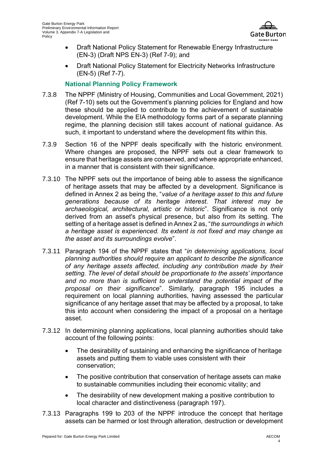

- Draft National Policy Statement for Renewable Energy Infrastructure (EN-3) (Draft NPS EN-3) [\(Ref 7-9\)](#page-13-6); and
- Draft National Policy Statement for Electricity Networks Infrastructure (EN-5) [\(Ref 7-7\)](#page-13-4).

#### **National Planning Policy Framework**

- 7.3.8 The NPPF (Ministry of Housing, Communities and Local Government, 2021) [\(Ref 7-10\)](#page-13-7) sets out the Government's planning policies for England and how these should be applied to contribute to the achievement of sustainable development. While the EIA methodology forms part of a separate planning regime, the planning decision still takes account of national guidance. As such, it important to understand where the development fits within this.
- 7.3.9 Section 16 of the NPPF deals specifically with the historic environment. Where changes are proposed, the NPPF sets out a clear framework to ensure that heritage assets are conserved, and where appropriate enhanced, in a manner that is consistent with their significance.
- 7.3.10 The NPPF sets out the importance of being able to assess the significance of heritage assets that may be affected by a development. Significance is defined in Annex 2 as being the, "*value of a heritage asset to this and future generations because of its heritage interest. That interest may be archaeological, architectural, artistic or historic*". Significance is not only derived from an asset's physical presence, but also from its setting. The setting of a heritage asset is defined in Annex 2 as, "*the surroundings in which a heritage asset is experienced. Its extent is not fixed and may change as the asset and its surroundings evolve*".
- 7.3.11 Paragraph 194 of the NPPF states that "*in determining applications, local planning authorities should require an applicant to describe the significance of any heritage assets affected, including any contribution made by their setting. The level of detail should be proportionate to the assets' importance and no more than is sufficient to understand the potential impact of the proposal on their significance*". Similarly, paragraph 195 includes a requirement on local planning authorities, having assessed the particular significance of any heritage asset that may be affected by a proposal, to take this into account when considering the impact of a proposal on a heritage asset.
- 7.3.12 In determining planning applications, local planning authorities should take account of the following points:
	- The desirability of sustaining and enhancing the significance of heritage assets and putting them to viable uses consistent with their conservation;
	- The positive contribution that conservation of heritage assets can make to sustainable communities including their economic vitality; and
	- The desirability of new development making a positive contribution to local character and distinctiveness (paragraph 197).
- 7.3.13 Paragraphs 199 to 203 of the NPPF introduce the concept that heritage assets can be harmed or lost through alteration, destruction or development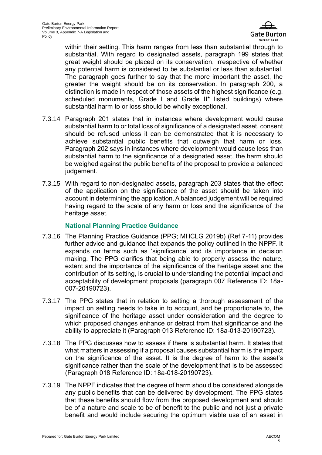

within their setting. This harm ranges from less than substantial through to substantial. With regard to designated assets, paragraph 199 states that great weight should be placed on its conservation, irrespective of whether any potential harm is considered to be substantial or less than substantial. The paragraph goes further to say that the more important the asset, the greater the weight should be on its conservation. In paragraph 200, a distinction is made in respect of those assets of the highest significance (e.g. scheduled monuments, Grade I and Grade II\* listed buildings) where substantial harm to or loss should be wholly exceptional.

- 7.3.14 Paragraph 201 states that in instances where development would cause substantial harm to or total loss of significance of a designated asset, consent should be refused unless it can be demonstrated that it is necessary to achieve substantial public benefits that outweigh that harm or loss. Paragraph 202 says in instances where development would cause less than substantial harm to the significance of a designated asset, the harm should be weighed against the public benefits of the proposal to provide a balanced judgement.
- 7.3.15 With regard to non-designated assets, paragraph 203 states that the effect of the application on the significance of the asset should be taken into account in determining the application. A balanced judgement will be required having regard to the scale of any harm or loss and the significance of the heritage asset.

#### **National Planning Practice Guidance**

- 7.3.16 The Planning Practice Guidance (PPG; MHCLG 2019b) [\(Ref 7-11\)](#page-13-8) provides further advice and guidance that expands the policy outlined in the NPPF. It expands on terms such as 'significance' and its importance in decision making. The PPG clarifies that being able to properly assess the nature, extent and the importance of the significance of the heritage asset and the contribution of its setting, is crucial to understanding the potential impact and acceptability of development proposals (paragraph 007 Reference ID: 18a-007-20190723).
- 7.3.17 The PPG states that in relation to setting a thorough assessment of the impact on setting needs to take in to account, and be proportionate to, the significance of the heritage asset under consideration and the degree to which proposed changes enhance or detract from that significance and the ability to appreciate it (Paragraph 013 Reference ID: 18a-013-20190723).
- 7.3.18 The PPG discusses how to assess if there is substantial harm. It states that what matters in assessing if a proposal causes substantial harm is the impact on the significance of the asset. It is the degree of harm to the asset's significance rather than the scale of the development that is to be assessed (Paragraph 018 Reference ID: 18a-018-20190723).
- 7.3.19 The NPPF indicates that the degree of harm should be considered alongside any public benefits that can be delivered by development. The PPG states that these benefits should flow from the proposed development and should be of a nature and scale to be of benefit to the public and not just a private benefit and would include securing the optimum viable use of an asset in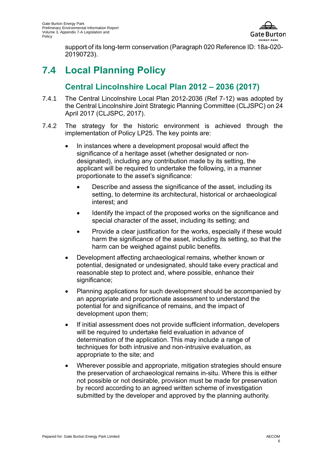

support of its long-term conservation (Paragraph 020 Reference ID: 18a-020- 20190723).

## **7.4 Local Planning Policy**

## **Central Lincolnshire Local Plan 2012 – 2036 (2017)**

- 7.4.1 The Central Lincolnshire Local Plan 2012-2036 [\(Ref 7-12\)](#page-13-9) was adopted by the Central Lincolnshire Joint Strategic Planning Committee (CLJSPC) on 24 April 2017 (CLJSPC, 2017).
- 7.4.2 The strategy for the historic environment is achieved through the implementation of Policy LP25. The key points are:
	- In instances where a development proposal would affect the significance of a heritage asset (whether designated or nondesignated), including any contribution made by its setting, the applicant will be required to undertake the following, in a manner proportionate to the asset's significance:
		- Describe and assess the significance of the asset, including its setting, to determine its architectural, historical or archaeological interest; and
		- Identify the impact of the proposed works on the significance and special character of the asset, including its setting; and
		- Provide a clear justification for the works, especially if these would harm the significance of the asset, including its setting, so that the harm can be weighed against public benefits.
	- Development affecting archaeological remains, whether known or potential, designated or undesignated, should take every practical and reasonable step to protect and, where possible, enhance their significance;
	- Planning applications for such development should be accompanied by an appropriate and proportionate assessment to understand the potential for and significance of remains, and the impact of development upon them;
	- If initial assessment does not provide sufficient information, developers will be required to undertake field evaluation in advance of determination of the application. This may include a range of techniques for both intrusive and non-intrusive evaluation, as appropriate to the site; and
	- Wherever possible and appropriate, mitigation strategies should ensure the preservation of archaeological remains in-situ. Where this is either not possible or not desirable, provision must be made for preservation by record according to an agreed written scheme of investigation submitted by the developer and approved by the planning authority.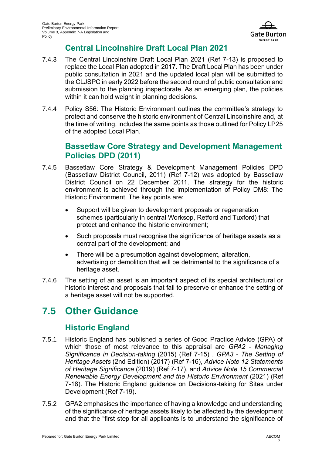

## **Central Lincolnshire Draft Local Plan 2021**

- 7.4.3 The Central Lincolnshire Draft Local Plan 2021 [\(Ref 7-13\)](#page-13-10) is proposed to replace the Local Plan adopted in 2017. The Draft Local Plan has been under public consultation in 2021 and the updated local plan will be submitted to the CLJSPC in early 2022 before the second round of public consultation and submission to the planning inspectorate. As an emerging plan, the policies within it can hold weight in planning decisions.
- 7.4.4 Policy S56: The Historic Environment outlines the committee's strategy to protect and conserve the historic environment of Central Lincolnshire and, at the time of writing, includes the same points as those outlined for Policy LP25 of the adopted Local Plan.

### **Bassetlaw Core Strategy and Development Management Policies DPD (2011)**

- 7.4.5 Bassetlaw Core Strategy & Development Management Policies DPD (Bassetlaw District Council, 2011) (Ref 7-12) was adopted by Bassetlaw District Council on 22 December 2011. The strategy for the historic environment is achieved through the implementation of Policy DM8: The Historic Environment. The key points are:
	- Support will be given to development proposals or regeneration schemes (particularly in central Worksop, Retford and Tuxford) that protect and enhance the historic environment;
	- Such proposals must recognise the significance of heritage assets as a central part of the development; and
	- There will be a presumption against development, alteration, advertising or demolition that will be detrimental to the significance of a heritage asset.
- 7.4.6 The setting of an asset is an important aspect of its special architectural or historic interest and proposals that fail to preserve or enhance the setting of a heritage asset will not be supported.

## **7.5 Other Guidance**

## **Historic England**

- 7.5.1 Historic England has published a series of Good Practice Advice (GPA) of which those of most relevance to this appraisal are *GPA2 - Managing Significance in Decision-taking* (2015) [\(Ref 7-15\)](#page-13-11) , *GPA3 - The Setting of Heritage Assets* (2nd Edition) (2017) [\(Ref 7-16\)](#page-13-12), *Advice Note 12 Statements of Heritage Significance* (2019) [\(Ref 7-17\)](#page-13-13), and *Advice Note 15 Commercial Renewable Energy Development and the Historic Environment* (2021) [\(Ref](#page-13-14)  [7-18\)](#page-13-14). The Historic England guidance on Decisions-taking for Sites under Development (Ref 7-19).
- 7.5.2 GPA2 emphasises the importance of having a knowledge and understanding of the significance of heritage assets likely to be affected by the development and that the "first step for all applicants is to understand the significance of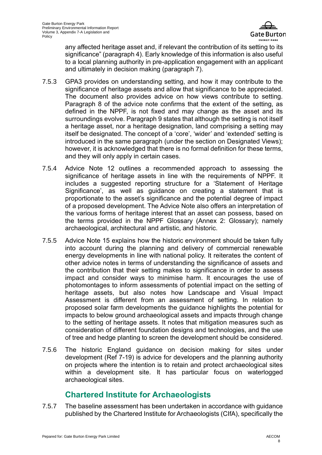

any affected heritage asset and, if relevant the contribution of its setting to its significance" (paragraph 4). Early knowledge of this information is also useful to a local planning authority in pre-application engagement with an applicant and ultimately in decision making (paragraph 7).

- 7.5.3 GPA3 provides on understanding setting, and how it may contribute to the significance of heritage assets and allow that significance to be appreciated. The document also provides advice on how views contribute to setting. Paragraph 8 of the advice note confirms that the extent of the setting, as defined in the NPPF, is not fixed and may change as the asset and its surroundings evolve. Paragraph 9 states that although the setting is not itself a heritage asset, nor a heritage designation, land comprising a setting may itself be designated. The concept of a 'core', 'wider' and 'extended' setting is introduced in the same paragraph (under the section on Designated Views); however, it is acknowledged that there is no formal definition for these terms, and they will only apply in certain cases.
- 7.5.4 Advice Note 12 outlines a recommended approach to assessing the significance of heritage assets in line with the requirements of NPPF. It includes a suggested reporting structure for a 'Statement of Heritage Significance', as well as guidance on creating a statement that is proportionate to the asset's significance and the potential degree of impact of a proposed development. The Advice Note also offers an interpretation of the various forms of heritage interest that an asset can possess, based on the terms provided in the NPPF Glossary (Annex 2: Glossary); namely archaeological, architectural and artistic, and historic.
- 7.5.5 Advice Note 15 explains how the historic environment should be taken fully into account during the planning and delivery of commercial renewable energy developments in line with national policy. It reiterates the content of other advice notes in terms of understanding the significance of assets and the contribution that their setting makes to significance in order to assess impact and consider ways to minimise harm. It encourages the use of photomontages to inform assessments of potential impact on the setting of heritage assets, but also notes how Landscape and Visual Impact Assessment is different from an assessment of setting. In relation to proposed solar farm developments the guidance highlights the potential for impacts to below ground archaeological assets and impacts through change to the setting of heritage assets. It notes that mitigation measures such as consideration of different foundation designs and technologies, and the use of tree and hedge planting to screen the development should be considered.
- 7.5.6 The historic England guidance on decision making for sites under development (Ref 7-19) is advice for developers and the planning authority on projects where the intention is to retain and protect archaeological sites within a development site. It has particular focus on waterlogged archaeological sites.

### **Chartered Institute for Archaeologists**

7.5.7 The baseline assessment has been undertaken in accordance with guidance published by the Chartered Institute for Archaeologists (CIfA), specifically the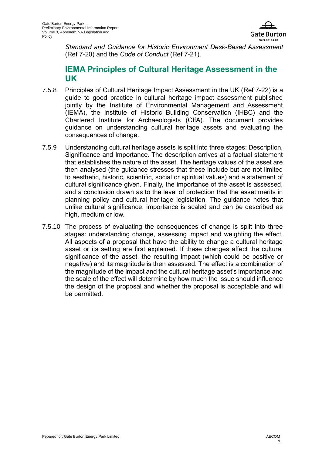

*Standard and Guidance for Historic Environment Desk-Based Assessment*  [\(Ref 7-20\)](#page-13-15) and the *Code of Conduct* [\(Ref 7-21\)](#page-13-16).

### **IEMA Principles of Cultural Heritage Assessment in the UK**

- 7.5.8 Principles of Cultural Heritage Impact Assessment in the UK [\(Ref 7-22\)](#page-13-17) is a guide to good practice in cultural heritage impact assessment published jointly by the Institute of Environmental Management and Assessment (IEMA), the Institute of Historic Building Conservation (IHBC) and the Chartered Institute for Archaeologists (CIfA). The document provides guidance on understanding cultural heritage assets and evaluating the consequences of change.
- 7.5.9 Understanding cultural heritage assets is split into three stages: Description, Significance and Importance. The description arrives at a factual statement that establishes the nature of the asset. The heritage values of the asset are then analysed (the guidance stresses that these include but are not limited to aesthetic, historic, scientific, social or spiritual values) and a statement of cultural significance given. Finally, the importance of the asset is assessed, and a conclusion drawn as to the level of protection that the asset merits in planning policy and cultural heritage legislation. The guidance notes that unlike cultural significance, importance is scaled and can be described as high, medium or low.
- 7.5.10 The process of evaluating the consequences of change is split into three stages: understanding change, assessing impact and weighting the effect. All aspects of a proposal that have the ability to change a cultural heritage asset or its setting are first explained. If these changes affect the cultural significance of the asset, the resulting impact (which could be positive or negative) and its magnitude is then assessed. The effect is a combination of the magnitude of the impact and the cultural heritage asset's importance and the scale of the effect will determine by how much the issue should influence the design of the proposal and whether the proposal is acceptable and will be permitted.